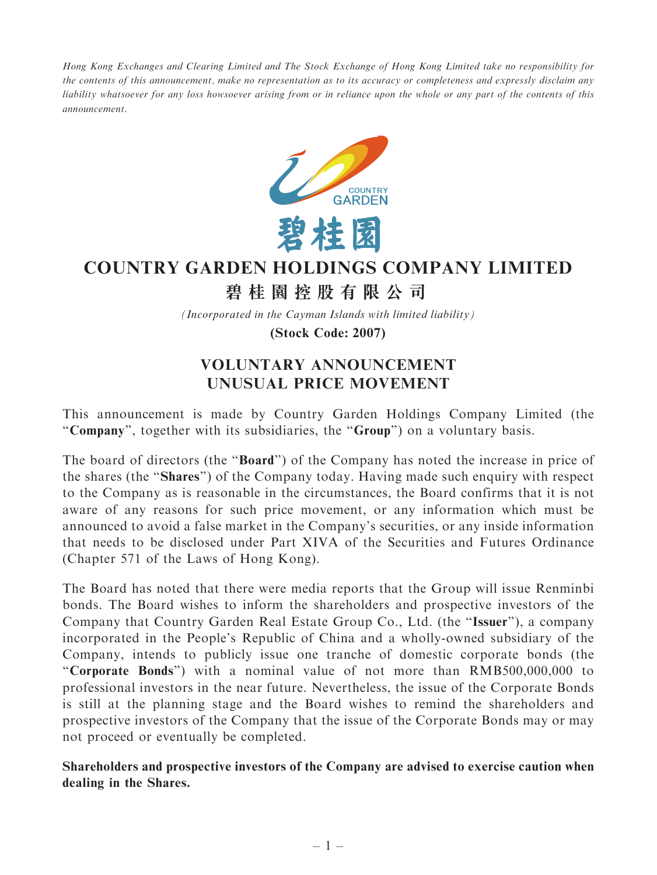Hong Kong Exchanges and Clearing Limited and The Stock Exchange of Hong Kong Limited take no responsibility for the contents of this announcement, make no representation as to its accuracy or completeness and expressly disclaim any liability whatsoever for any loss howsoever arising from or in reliance upon the whole or any part of the contents of this announcement.



## **COUNTRY GARDEN HOLDINGS COMPANY LIMITED**

## **碧桂園控股有限公司**

*(Incorporated in the Cayman Islands with limited liability)*

**(Stock Code: 2007)**

## VOLUNTARY ANNOUNCEMENT UNUSUAL PRICE MOVEMENT

This announcement is made by Country Garden Holdings Company Limited (the "Company", together with its subsidiaries, the "Group") on a voluntary basis.

The board of directors (the "**Board**") of the Company has noted the increase in price of the shares (the ''Shares'') of the Company today. Having made such enquiry with respect to the Company as is reasonable in the circumstances, the Board confirms that it is not aware of any reasons for such price movement, or any information which must be announced to avoid a false market in the Company's securities, or any inside information that needs to be disclosed under Part XIVA of the Securities and Futures Ordinance (Chapter 571 of the Laws of Hong Kong).

The Board has noted that there were media reports that the Group will issue Renminbi bonds. The Board wishes to inform the shareholders and prospective investors of the Company that Country Garden Real Estate Group Co., Ltd. (the ''Issuer''), a company incorporated in the People's Republic of China and a wholly-owned subsidiary of the Company, intends to publicly issue one tranche of domestic corporate bonds (the ''Corporate Bonds'') with a nominal value of not more than RMB500,000,000 to professional investors in the near future. Nevertheless, the issue of the Corporate Bonds is still at the planning stage and the Board wishes to remind the shareholders and prospective investors of the Company that the issue of the Corporate Bonds may or may not proceed or eventually be completed.

Shareholders and prospective investors of the Company are advised to exercise caution when dealing in the Shares.